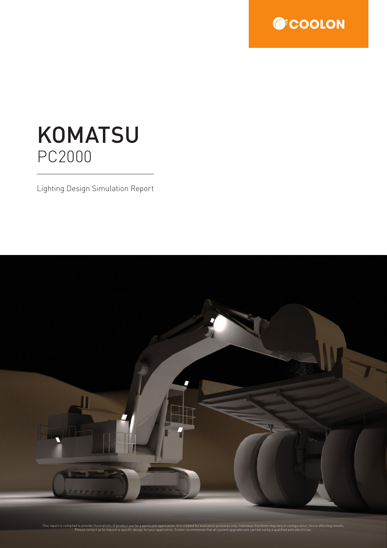

# **KOMATSU** PC2000

Lighting Design Simulation Report

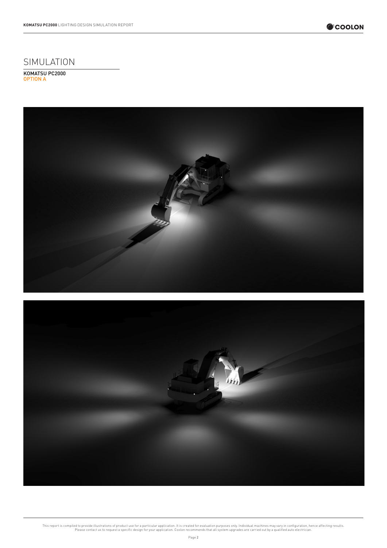

### SIMULATION

KOMATSU PC2000 OPTION A



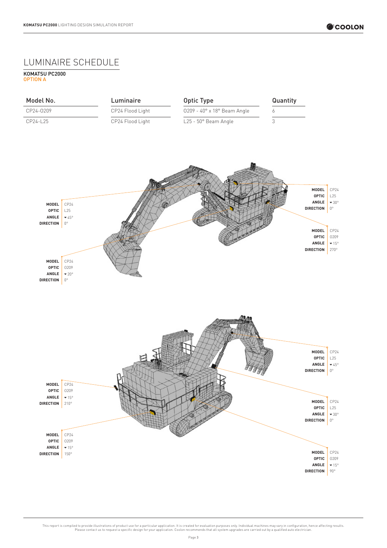#### LUMINAIRE SCHEDULE

KOMATSU PC2000 OPTION A

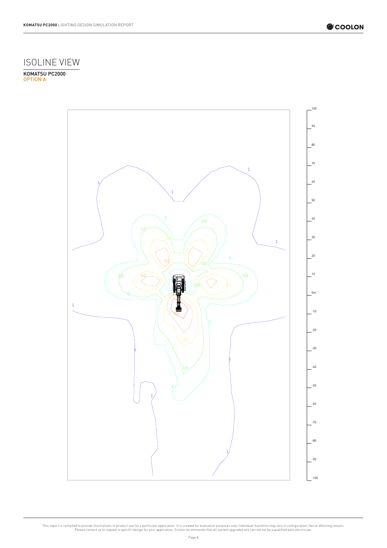

## ISOLINE VIEW

KOMATSU PC2000 OPTION A

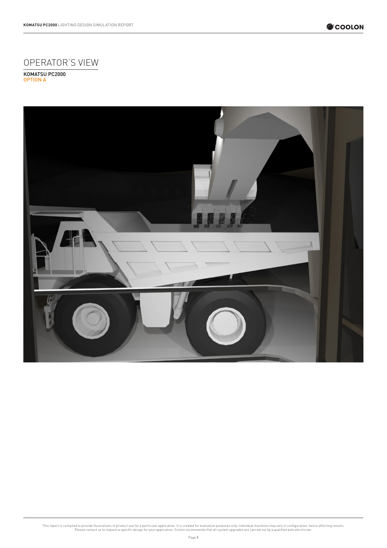

## OPERATOR'S VIEW

KOMATSU PC2000 OPTION A

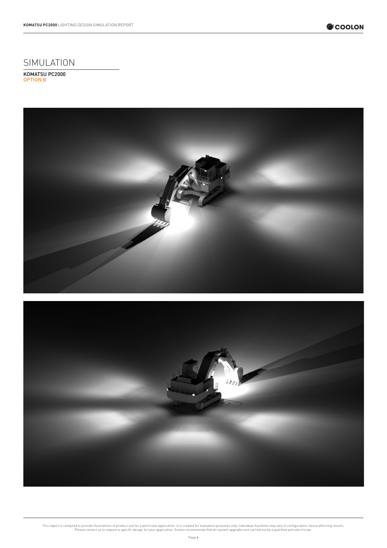

### SIMULATION

KOMATSU PC2000 OPTION B



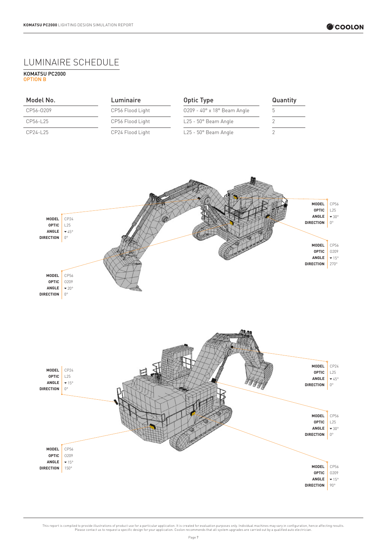### LUMINAIRE SCHEDULE

KOMATSU PC2000 OPTION B





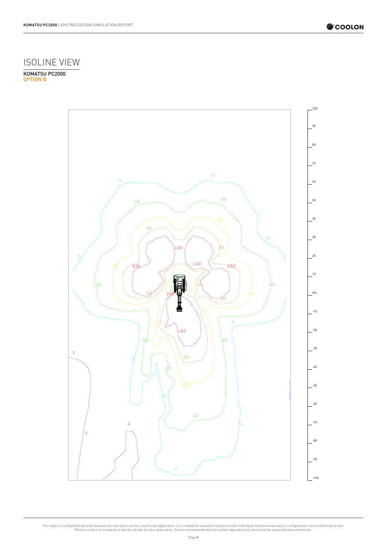

## ISOLINE VIEW

KOMATSU PC2000 OPTION B